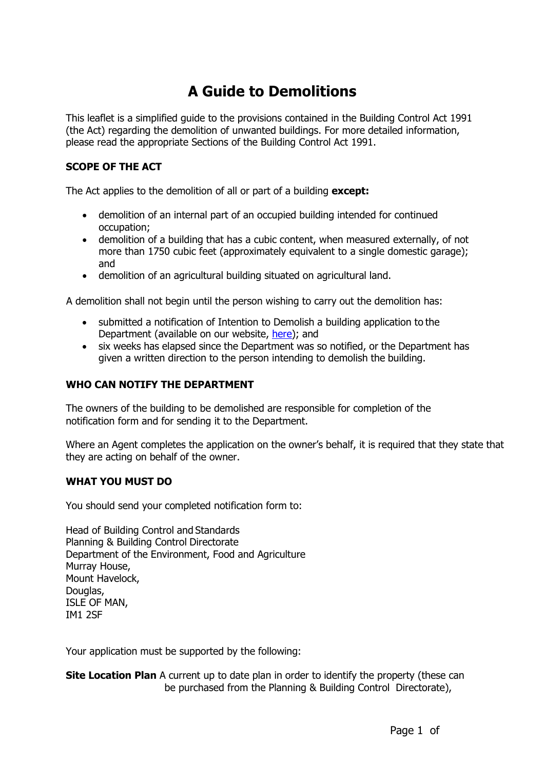# **A Guide to Demolitions**

This leaflet is a simplified guide to the provisions contained in the Building Control Act 1991 (the Act) regarding the demolition of unwanted buildings. For more detailed information, please read the appropriate Sections of the Building Control Act 1991.

#### **SCOPE OF THE ACT**

The Act applies to the demolition of all or part of a building **except:**

- demolition of an internal part of an occupied building intended for continued occupation;
- demolition of a building that has a cubic content, when measured externally, of not more than 1750 cubic feet (approximately equivalent to a single domestic garage); and
- demolition of an agricultural building situated on agricultural land.

A demolition shall not begin until the person wishing to carry out the demolition has:

- submitted a notification of Intention to Demolish a building application to the Department (available on our website, [here\)](https://www.gov.im/media/1367991/form-11a-building-control-demolition-form.pdf); and
- six weeks has elapsed since the Department was so notified, or the Department has given a written direction to the person intending to demolish the building.

### **WHO CAN NOTIFY THE DEPARTMENT**

The owners of the building to be demolished are responsible for completion of the notification form and for sending it to the Department.

Where an Agent completes the application on the owner's behalf, it is required that they state that they are acting on behalf of the owner.

#### **WHAT YOU MUST DO**

You should send your completed notification form to:

Head of Building Control and Standards Planning & Building Control Directorate Department of the Environment, Food and Agriculture Murray House, Mount Havelock, Douglas, ISLE OF MAN, IM1 2SF

Your application must be supported by the following:

**Site Location Plan** A current up to date plan in order to identify the property (these can be purchased from the Planning & Building Control Directorate),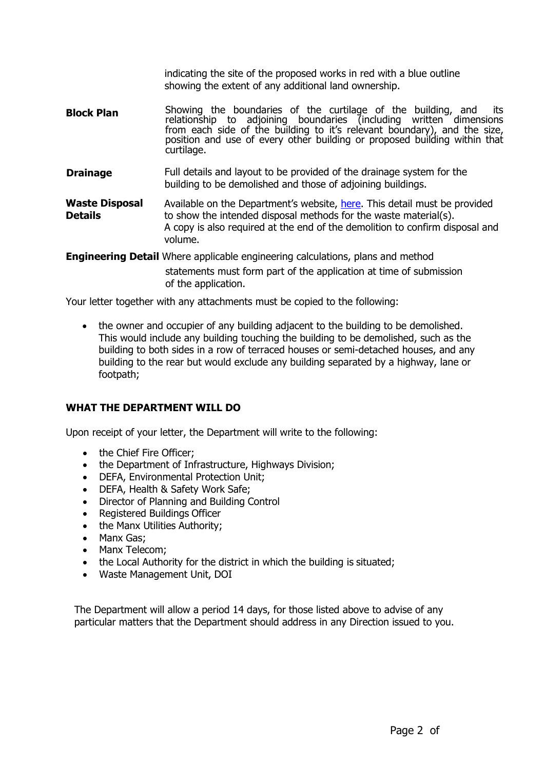indicating the site of the proposed works in red with a blue outline showing the extent of any additional land ownership.

- **Block Plan** Showing the boundaries of the curtilage of the building, and its relationship to adjoining boundaries (including written dimensions from each side of the building to it's relevant boundary), and the size, position and use of every other building or proposed building within that curtilage.
- **Drainage** Full details and layout to be provided of the drainage system for the building to be demolished and those of adjoining buildings.
- **Waste Disposal Details** Available on the Department's website, [here.](https://www.gov.im/media/1367992/form-11b-demolition-waste-schedule.pdf) This detail must be provided to show the intended disposal methods for the waste material(s). A copy is also required at the end of the demolition to confirm disposal and volume.

**Engineering Detail** Where applicable engineering calculations, plans and method

statements must form part of the application at time of submission of the application.

Your letter together with any attachments must be copied to the following:

 the owner and occupier of any building adjacent to the building to be demolished. This would include any building touching the building to be demolished, such as the building to both sides in a row of terraced houses or semi-detached houses, and any building to the rear but would exclude any building separated by a highway, lane or footpath;

#### **WHAT THE DEPARTMENT WILL DO**

Upon receipt of your letter, the Department will write to the following:

- the Chief Fire Officer;
- the Department of Infrastructure, Highways Division;
- DEFA, Environmental Protection Unit;
- DEFA, Health & Safety Work Safe;
- Director of Planning and Building Control
- Registered Buildings Officer
- the Manx Utilities Authority;
- Manx Gas;
- Manx Telecom;
- the Local Authority for the district in which the building is situated;
- Waste Management Unit, DOI

The Department will allow a period 14 days, for those listed above to advise of any particular matters that the Department should address in any Direction issued to you.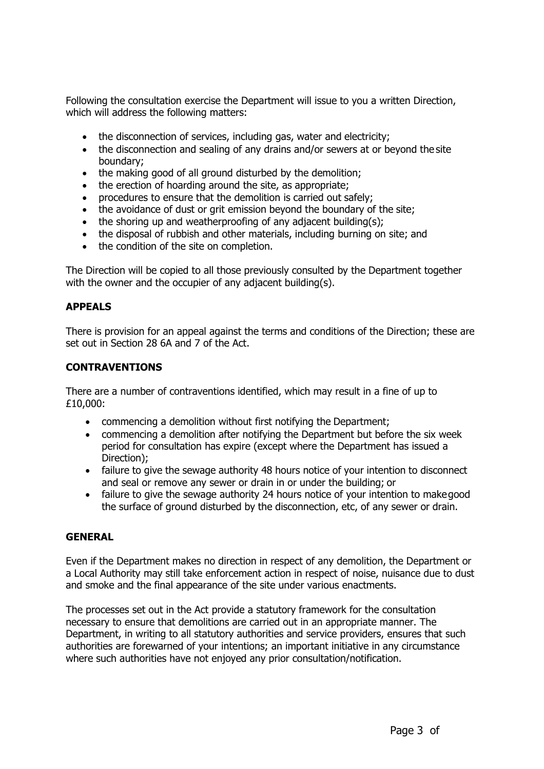Following the consultation exercise the Department will issue to you a written Direction, which will address the following matters:

- the disconnection of services, including gas, water and electricity;
- the disconnection and sealing of any drains and/or sewers at or beyond the site boundary;
- the making good of all ground disturbed by the demolition;
- the erection of hoarding around the site, as appropriate;
- procedures to ensure that the demolition is carried out safely;
- the avoidance of dust or grit emission beyond the boundary of the site;
- the shoring up and weatherproofing of any adjacent building(s);
- the disposal of rubbish and other materials, including burning on site; and
- the condition of the site on completion.

The Direction will be copied to all those previously consulted by the Department together with the owner and the occupier of any adjacent building(s).

#### **APPEALS**

There is provision for an appeal against the terms and conditions of the Direction; these are set out in Section 28 6A and 7 of the Act.

#### **CONTRAVENTIONS**

There are a number of contraventions identified, which may result in a fine of up to £10,000:

- commencing a demolition without first notifying the Department;
- commencing a demolition after notifying the Department but before the six week period for consultation has expire (except where the Department has issued a Direction);
- failure to give the sewage authority 48 hours notice of your intention to disconnect and seal or remove any sewer or drain in or under the building; or
- failure to give the sewage authority 24 hours notice of your intention to makegood the surface of ground disturbed by the disconnection, etc, of any sewer or drain.

#### **GENERAL**

Even if the Department makes no direction in respect of any demolition, the Department or a Local Authority may still take enforcement action in respect of noise, nuisance due to dust and smoke and the final appearance of the site under various enactments.

The processes set out in the Act provide a statutory framework for the consultation necessary to ensure that demolitions are carried out in an appropriate manner. The Department, in writing to all statutory authorities and service providers, ensures that such authorities are forewarned of your intentions; an important initiative in any circumstance where such authorities have not enjoyed any prior consultation/notification.